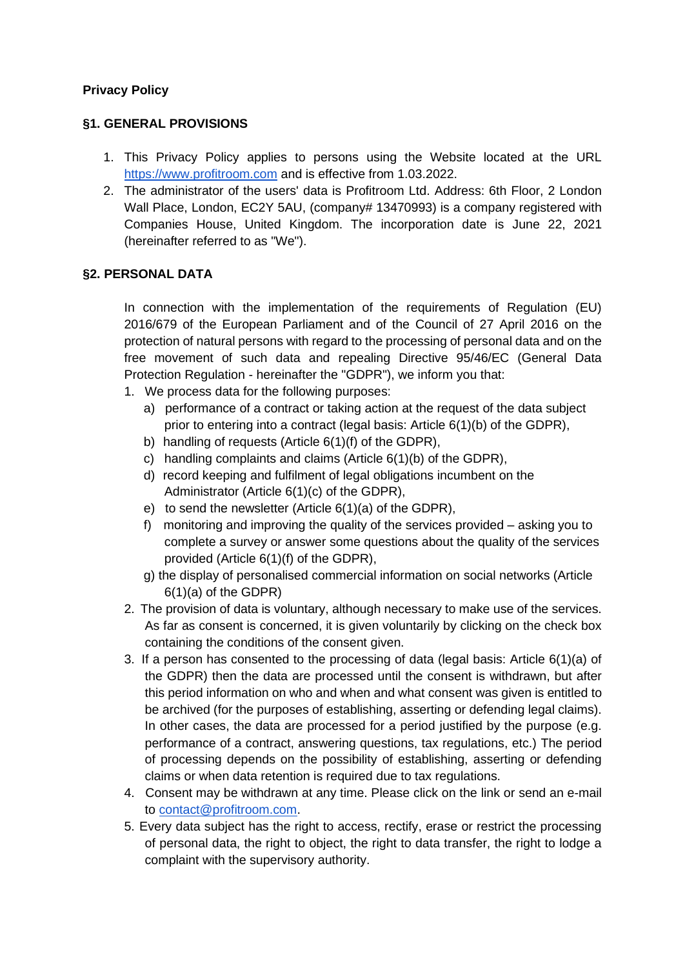### **Privacy Policy**

### **§1. GENERAL PROVISIONS**

- 1. This Privacy Policy applies to persons using the Website located at the URL [https://www.profitroom.com](https://www.profitroom.com/) and is effective from 1.03.2022.
- 2. The administrator of the users' data is Profitroom Ltd. Address: 6th Floor, 2 London Wall Place, London, EC2Y 5AU, (company# 13470993) is a company registered with Companies House, United Kingdom. The incorporation date is June 22, 2021 (hereinafter referred to as "We").

### **§2. PERSONAL DATA**

In connection with the implementation of the requirements of Regulation (EU) 2016/679 of the European Parliament and of the Council of 27 April 2016 on the protection of natural persons with regard to the processing of personal data and on the free movement of such data and repealing Directive 95/46/EC (General Data Protection Regulation - hereinafter the "GDPR"), we inform you that:

- 1. We process data for the following purposes:
	- a) performance of a contract or taking action at the request of the data subject prior to entering into a contract (legal basis: Article 6(1)(b) of the GDPR),
	- b) handling of requests (Article 6(1)(f) of the GDPR),
	- c) handling complaints and claims (Article 6(1)(b) of the GDPR),
	- d) record keeping and fulfilment of legal obligations incumbent on the Administrator (Article 6(1)(c) of the GDPR),
	- e) to send the newsletter (Article 6(1)(a) of the GDPR),
	- f) monitoring and improving the quality of the services provided asking you to complete a survey or answer some questions about the quality of the services provided (Article 6(1)(f) of the GDPR),
	- g) the display of personalised commercial information on social networks (Article 6(1)(a) of the GDPR)
- 2. The provision of data is voluntary, although necessary to make use of the services. As far as consent is concerned, it is given voluntarily by clicking on the check box containing the conditions of the consent given.
- 3. If a person has consented to the processing of data (legal basis: Article 6(1)(a) of the GDPR) then the data are processed until the consent is withdrawn, but after this period information on who and when and what consent was given is entitled to be archived (for the purposes of establishing, asserting or defending legal claims). In other cases, the data are processed for a period justified by the purpose (e.g. performance of a contract, answering questions, tax regulations, etc.) The period of processing depends on the possibility of establishing, asserting or defending claims or when data retention is required due to tax regulations.
- 4. Consent may be withdrawn at any time. Please click on the link or send an e-mail to [contact@profitroom.com.](mailto:contact@profitroom.com)
- 5. Every data subject has the right to access, rectify, erase or restrict the processing of personal data, the right to object, the right to data transfer, the right to lodge a complaint with the supervisory authority.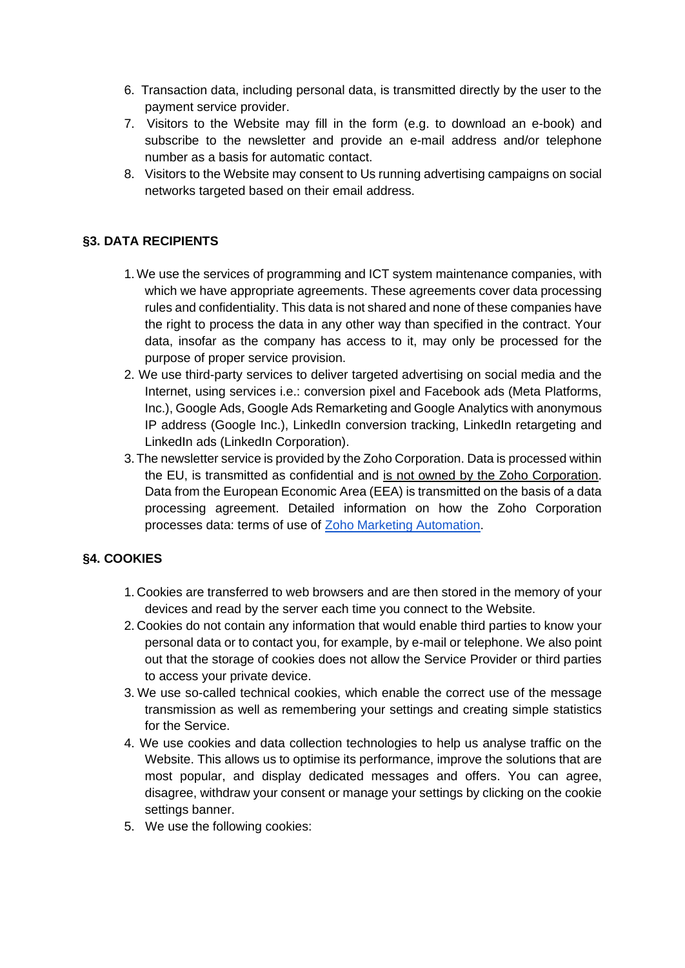- 6. Transaction data, including personal data, is transmitted directly by the user to the payment service provider.
- 7. Visitors to the Website may fill in the form (e.g. to download an e-book) and subscribe to the newsletter and provide an e-mail address and/or telephone number as a basis for automatic contact.
- 8. Visitors to the Website may consent to Us running advertising campaigns on social networks targeted based on their email address.

# **§3. DATA RECIPIENTS**

- 1.We use the services of programming and ICT system maintenance companies, with which we have appropriate agreements. These agreements cover data processing rules and confidentiality. This data is not shared and none of these companies have the right to process the data in any other way than specified in the contract. Your data, insofar as the company has access to it, may only be processed for the purpose of proper service provision.
- 2. We use third-party services to deliver targeted advertising on social media and the Internet, using services i.e.: conversion pixel and Facebook ads (Meta Platforms, Inc.), Google Ads, Google Ads Remarketing and Google Analytics with anonymous IP address (Google Inc.), LinkedIn conversion tracking, LinkedIn retargeting and LinkedIn ads (LinkedIn Corporation).
- 3.The newsletter service is provided by the Zoho Corporation. Data is processed within the EU, is transmitted as confidential and is not owned by the Zoho Corporation. Data from the European Economic Area (EEA) is transmitted on the basis of a data processing agreement. Detailed information on how the Zoho Corporation processes data: terms of use of [Zoho Marketing Automation.](https://www.zoho.com/marketingautomation/terms.html#:~:text=By%20using%20Zoho%20Marketing%20Automation%2C%20you%20agree%20that&text=You%20will%20not%20host%20and,sell%20illegal%20and%20counterfeit%20products.)

## **§4. COOKIES**

- 1. Cookies are transferred to web browsers and are then stored in the memory of your devices and read by the server each time you connect to the Website.
- 2. Cookies do not contain any information that would enable third parties to know your personal data or to contact you, for example, by e-mail or telephone. We also point out that the storage of cookies does not allow the Service Provider or third parties to access your private device.
- 3. We use so-called technical cookies, which enable the correct use of the message transmission as well as remembering your settings and creating simple statistics for the Service.
- 4. We use cookies and data collection technologies to help us analyse traffic on the Website. This allows us to optimise its performance, improve the solutions that are most popular, and display dedicated messages and offers. You can agree, disagree, withdraw your consent or manage your settings by clicking on the cookie settings banner.
- 5. We use the following cookies: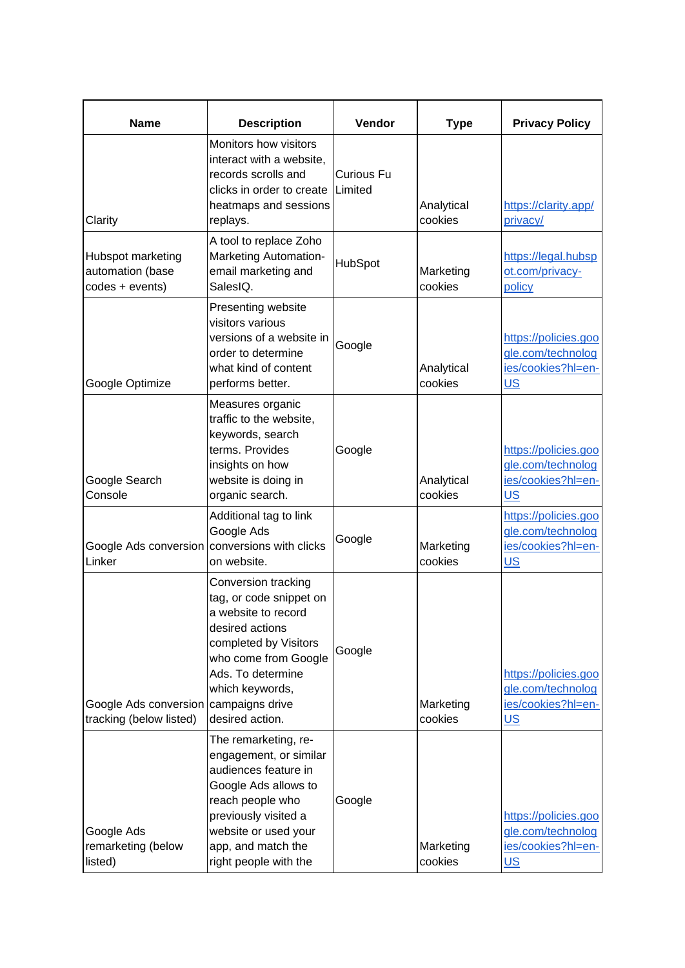| <b>Name</b>                                                      | <b>Description</b>                                                                                                                                                                                                | Vendor                       | <b>Type</b>           | <b>Privacy Policy</b>                                                             |
|------------------------------------------------------------------|-------------------------------------------------------------------------------------------------------------------------------------------------------------------------------------------------------------------|------------------------------|-----------------------|-----------------------------------------------------------------------------------|
| Clarity                                                          | Monitors how visitors<br>interact with a website,<br>records scrolls and<br>clicks in order to create<br>heatmaps and sessions<br>replays.                                                                        | <b>Curious Fu</b><br>Limited | Analytical<br>cookies | https://clarity.app/<br>privacy/                                                  |
| Hubspot marketing<br>automation (base<br>codes + events)         | A tool to replace Zoho<br><b>Marketing Automation-</b><br>email marketing and<br>SalesIQ.                                                                                                                         | HubSpot                      | Marketing<br>cookies  | https://legal.hubsp<br>ot.com/privacy-<br>policy                                  |
| Google Optimize                                                  | Presenting website<br>visitors various<br>versions of a website in<br>order to determine<br>what kind of content<br>performs better.                                                                              | Google                       | Analytical<br>cookies | https://policies.goo<br>gle.com/technolog<br>ies/cookies?hl=en-<br><b>US</b>      |
| Google Search<br>Console                                         | Measures organic<br>traffic to the website,<br>keywords, search<br>terms. Provides<br>insights on how<br>website is doing in<br>organic search.                                                                   | Google                       | Analytical<br>cookies | https://policies.goo<br>gle.com/technolog<br>ies/cookies?hl=en-<br>US <sub></sub> |
| Google Ads conversion conversions with clicks<br>Linker          | Additional tag to link<br>Google Ads<br>on website.                                                                                                                                                               | Google                       | Marketing<br>cookies  | https://policies.goo<br>gle.com/technolog<br>ies/cookies?hl=en-<br>US <sub></sub> |
| Google Ads conversion campaigns drive<br>tracking (below listed) | Conversion tracking<br>tag, or code snippet on<br>a website to record<br>desired actions<br>completed by Visitors<br>who come from Google<br>Ads. To determine<br>which keywords,<br>desired action.              | Google                       | Marketing<br>cookies  | https://policies.goo<br>gle.com/technolog<br>ies/cookies?hl=en-<br><u>US</u>      |
| Google Ads<br>remarketing (below<br>listed)                      | The remarketing, re-<br>engagement, or similar<br>audiences feature in<br>Google Ads allows to<br>reach people who<br>previously visited a<br>website or used your<br>app, and match the<br>right people with the | Google                       | Marketing<br>cookies  | https://policies.goo<br>gle.com/technolog<br>ies/cookies?hl=en-<br>US             |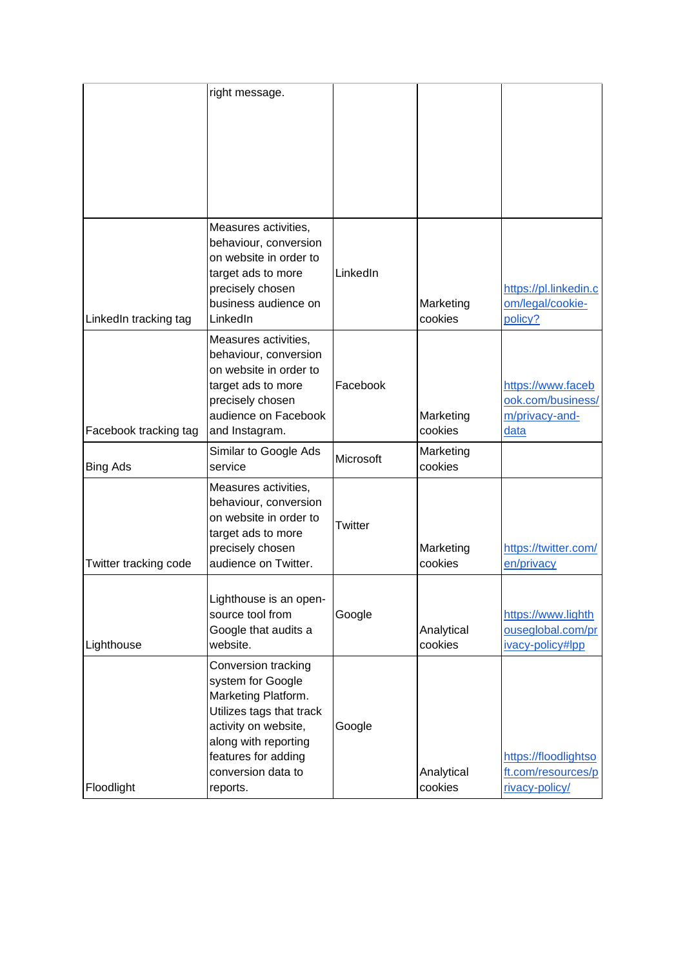|                       | right message.                                                                                                                                                                                       |                |                       |                                                                  |
|-----------------------|------------------------------------------------------------------------------------------------------------------------------------------------------------------------------------------------------|----------------|-----------------------|------------------------------------------------------------------|
| LinkedIn tracking tag | Measures activities,<br>behaviour, conversion<br>on website in order to<br>target ads to more<br>precisely chosen<br>business audience on<br>LinkedIn                                                | LinkedIn       | Marketing<br>cookies  | https://pl.linkedin.c<br>om/legal/cookie-<br>policy?             |
| Facebook tracking tag | Measures activities,<br>behaviour, conversion<br>on website in order to<br>target ads to more<br>precisely chosen<br>audience on Facebook<br>and Instagram.                                          | Facebook       | Marketing<br>cookies  | https://www.faceb<br>ook.com/business/<br>m/privacy-and-<br>data |
| <b>Bing Ads</b>       | Similar to Google Ads<br>service                                                                                                                                                                     | Microsoft      | Marketing<br>cookies  |                                                                  |
| Twitter tracking code | Measures activities,<br>behaviour, conversion<br>on website in order to<br>target ads to more<br>precisely chosen<br>audience on Twitter.                                                            | <b>Twitter</b> | Marketing<br>cookies  | https://twitter.com/<br>en/privacy                               |
| Lighthouse            | Lighthouse is an open-<br>source tool from<br>Google that audits a<br>website.                                                                                                                       | Google         | Analytical<br>cookies | https://www.lighth<br>ouseglobal.com/pr<br>ivacy-policy#lpp      |
| Floodlight            | Conversion tracking<br>system for Google<br>Marketing Platform.<br>Utilizes tags that track<br>activity on website,<br>along with reporting<br>features for adding<br>conversion data to<br>reports. | Google         | Analytical<br>cookies | https://floodlightso<br>ft.com/resources/p<br>rivacy-policy/     |